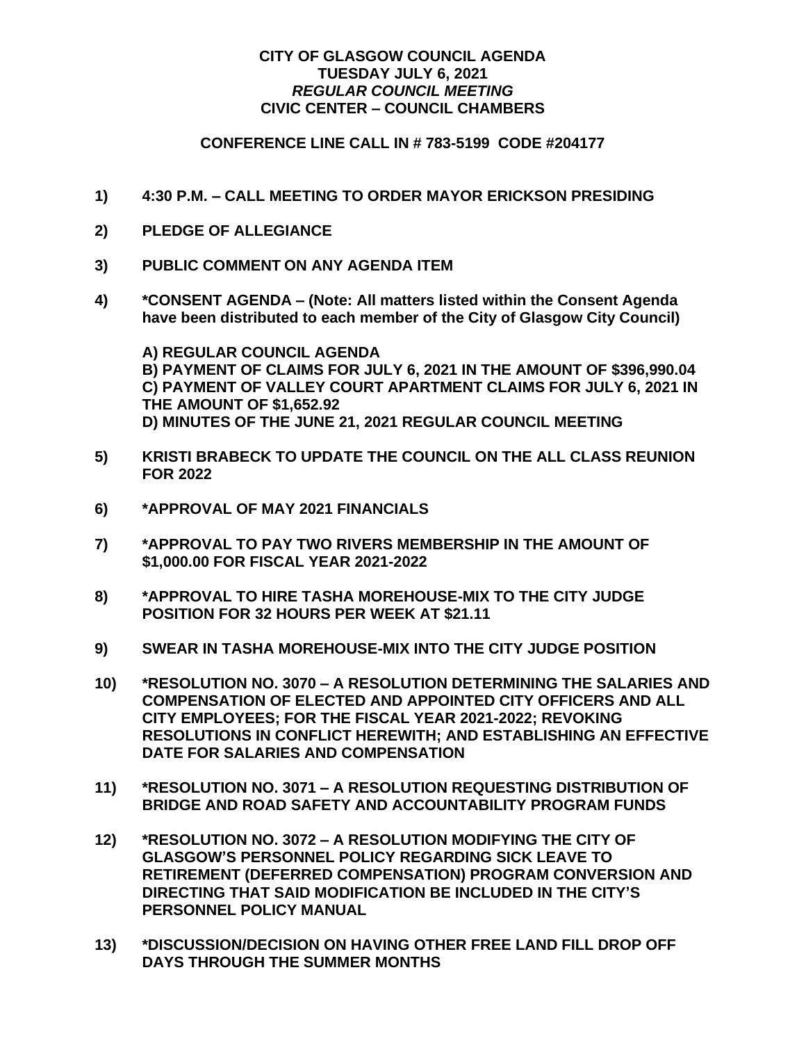## **CITY OF GLASGOW COUNCIL AGENDA TUESDAY JULY 6, 2021** *REGULAR COUNCIL MEETING* **CIVIC CENTER – COUNCIL CHAMBERS**

## **CONFERENCE LINE CALL IN # 783-5199 CODE #204177**

- **1) 4:30 P.M. – CALL MEETING TO ORDER MAYOR ERICKSON PRESIDING**
- **2) PLEDGE OF ALLEGIANCE**
- **3) PUBLIC COMMENT ON ANY AGENDA ITEM**
- **4) \*CONSENT AGENDA – (Note: All matters listed within the Consent Agenda have been distributed to each member of the City of Glasgow City Council)**

**A) REGULAR COUNCIL AGENDA B) PAYMENT OF CLAIMS FOR JULY 6, 2021 IN THE AMOUNT OF \$396,990.04 C) PAYMENT OF VALLEY COURT APARTMENT CLAIMS FOR JULY 6, 2021 IN THE AMOUNT OF \$1,652.92 D) MINUTES OF THE JUNE 21, 2021 REGULAR COUNCIL MEETING**

- **5) KRISTI BRABECK TO UPDATE THE COUNCIL ON THE ALL CLASS REUNION FOR 2022**
- **6) \*APPROVAL OF MAY 2021 FINANCIALS**
- **7) \*APPROVAL TO PAY TWO RIVERS MEMBERSHIP IN THE AMOUNT OF \$1,000.00 FOR FISCAL YEAR 2021-2022**
- **8) \*APPROVAL TO HIRE TASHA MOREHOUSE-MIX TO THE CITY JUDGE POSITION FOR 32 HOURS PER WEEK AT \$21.11**
- **9) SWEAR IN TASHA MOREHOUSE-MIX INTO THE CITY JUDGE POSITION**
- **10) \*RESOLUTION NO. 3070 – A RESOLUTION DETERMINING THE SALARIES AND COMPENSATION OF ELECTED AND APPOINTED CITY OFFICERS AND ALL CITY EMPLOYEES; FOR THE FISCAL YEAR 2021-2022; REVOKING RESOLUTIONS IN CONFLICT HEREWITH; AND ESTABLISHING AN EFFECTIVE DATE FOR SALARIES AND COMPENSATION**
- **11) \*RESOLUTION NO. 3071 – A RESOLUTION REQUESTING DISTRIBUTION OF BRIDGE AND ROAD SAFETY AND ACCOUNTABILITY PROGRAM FUNDS**
- **12) \*RESOLUTION NO. 3072 – A RESOLUTION MODIFYING THE CITY OF GLASGOW'S PERSONNEL POLICY REGARDING SICK LEAVE TO RETIREMENT (DEFERRED COMPENSATION) PROGRAM CONVERSION AND DIRECTING THAT SAID MODIFICATION BE INCLUDED IN THE CITY'S PERSONNEL POLICY MANUAL**
- **13) \*DISCUSSION/DECISION ON HAVING OTHER FREE LAND FILL DROP OFF DAYS THROUGH THE SUMMER MONTHS**